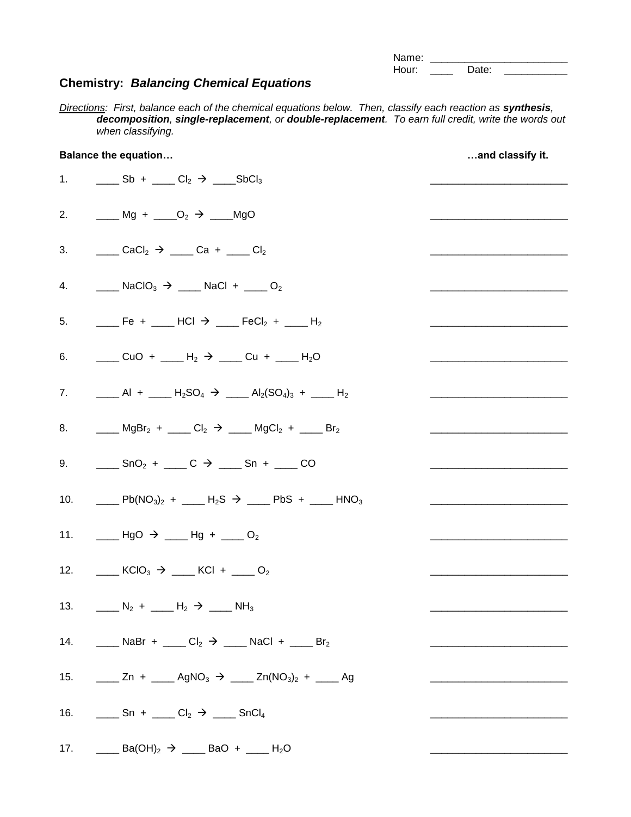| Name: |       |  |
|-------|-------|--|
| Hour: | Date: |  |

## **Chemistry:** *Balancing Chemical Equations*

*Directions: First, balance each of the chemical equations below. Then, classify each reaction as <i>synthesis*, *decomposition, single-replacement, or double-replacement. To earn full credit, write the words out when classifying.*

| <b>Balance the equation</b> |                                                                                                                                                                                                           | and classify it. |
|-----------------------------|-----------------------------------------------------------------------------------------------------------------------------------------------------------------------------------------------------------|------------------|
|                             | 1. $\qquad \qquad \underline{\qquad}$ Sb + $\qquad \qquad \underline{\qquad}$ Cl <sub>2</sub> $\rightarrow \qquad \underline{\qquad}$ SbCl <sub>3</sub>                                                   |                  |
|                             | 2. Mg + $\_\_O_2 \rightarrow \_\_MgO$                                                                                                                                                                     |                  |
|                             | 3. $CaCl_2 \rightarrow$ Ca + Cl <sub>2</sub>                                                                                                                                                              |                  |
|                             | 4. $\qquad \qquad$ NaClO <sub>3</sub> $\rightarrow$ MaCl + ___ O <sub>2</sub>                                                                                                                             |                  |
|                             | 5. _____ Fe + ____ HCl $\rightarrow$ ____ FeCl <sub>2</sub> + ____ H <sub>2</sub>                                                                                                                         |                  |
|                             | 6. $\qquad \qquad \overline{\phantom{2}}$ CuO + $\qquad \qquad$ H <sub>2</sub> $\rightarrow \qquad$ Cu + $\qquad \qquad$ H <sub>2</sub> O                                                                 |                  |
|                             | 7. $\underline{\qquad}$ Al + $\underline{\qquad}$ H <sub>2</sub> SO <sub>4</sub> $\rightarrow$ $\underline{\qquad}$ Al <sub>2</sub> (SO <sub>4</sub> ) <sub>3</sub> + $\underline{\qquad}$ H <sub>2</sub> |                  |
|                             | 8. ____ MgBr <sub>2</sub> + ____ Cl <sub>2</sub> $\rightarrow$ ____ MgCl <sub>2</sub> + ____ Br <sub>2</sub>                                                                                              |                  |
|                             | 9. $\qquad \qquad \overline{\phantom{0}}$ SnO <sub>2</sub> + $\qquad \qquad$ C $\rightarrow$ $\qquad \overline{\phantom{0}}$ Sn + $\qquad \qquad$ CO                                                      |                  |
|                             | 10. _____ Pb(NO <sub>3</sub> ) <sub>2</sub> + ____ H <sub>2</sub> S $\rightarrow$ ____ PbS + ____ HNO <sub>3</sub>                                                                                        |                  |
|                             | 11. $\_\_\_$ HgO $\rightarrow \_\_\_$ Hg + $\_\_$ O <sub>2</sub>                                                                                                                                          |                  |
|                             | 12. ______ KClO <sub>3</sub> $\rightarrow$ ____ KCl + ____ O <sub>2</sub>                                                                                                                                 |                  |
|                             | 13. $\qquad \qquad \_ N_2 + \_ M_2 \rightarrow \_ M_3$                                                                                                                                                    |                  |
|                             | 14. ______ NaBr + ____ Cl <sub>2</sub> $\rightarrow$ ____ NaCl + ____ Br <sub>2</sub>                                                                                                                     |                  |
|                             | 15. _____ Zn + _____ AgNO <sub>3</sub> $\rightarrow$ ____ Zn(NO <sub>3</sub> ) <sub>2</sub> + ____ Ag                                                                                                     |                  |
| 16.                         | $\frac{1}{2}$ Sn + $\frac{1}{2}$ Cl <sub>2</sub> $\rightarrow$ $\frac{1}{2}$ SnCl <sub>4</sub>                                                                                                            |                  |
|                             | 17. _____ Ba(OH) <sub>2</sub> $\rightarrow$ ____ BaO + ____ H <sub>2</sub> O                                                                                                                              |                  |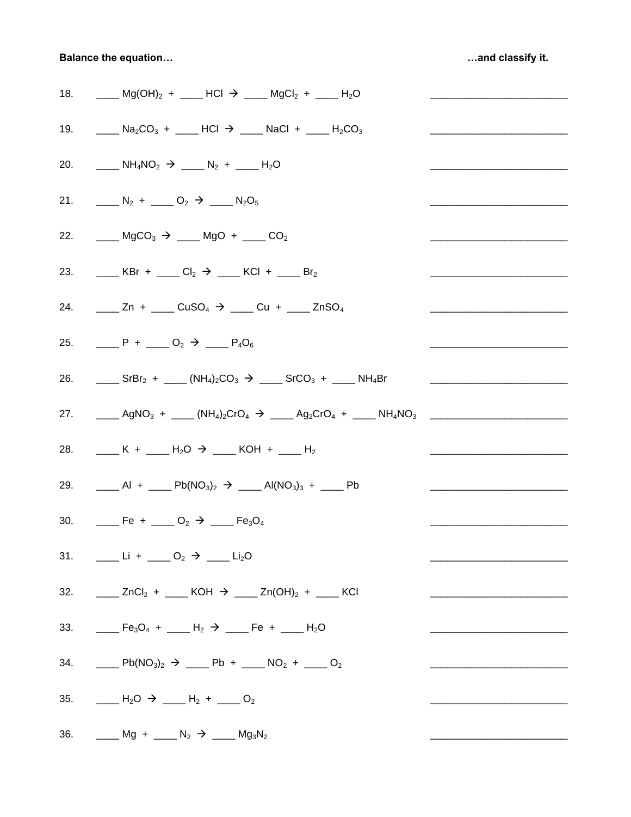**Balance the equation...** 

...and classify it.

| 18. _____ Mg(OH) <sub>2</sub> + ____ HCl $\rightarrow$ ____ MgCl <sub>2</sub> + ____ H <sub>2</sub> O                                                                                                       |                                                                                                                       |
|-------------------------------------------------------------------------------------------------------------------------------------------------------------------------------------------------------------|-----------------------------------------------------------------------------------------------------------------------|
| 19. ____ Na <sub>2</sub> CO <sub>3</sub> + ____ HCl $\rightarrow$ ___ NaCl + ___ H <sub>2</sub> CO <sub>3</sub>                                                                                             |                                                                                                                       |
| 20. $M_4NO_2 \rightarrow$ $N_2 +$ $M_2O_2$                                                                                                                                                                  |                                                                                                                       |
| 21. $N_2 +$ $N_2 +$ $N_2 +$ $N_2 +$                                                                                                                                                                         |                                                                                                                       |
| 22. _____ MgCO <sub>3</sub> $\rightarrow$ ____ MgO + ____ CO <sub>2</sub>                                                                                                                                   |                                                                                                                       |
| 23. Let $\Box$ KBr + $\Box$ Cl <sub>2</sub> $\rightarrow$ $\Box$ KCl + $\Box$ Br <sub>2</sub>                                                                                                               |                                                                                                                       |
| 24. _____ Zn + ____ CuSO <sub>4</sub> $\rightarrow$ ____ Cu + ____ ZnSO <sub>4</sub>                                                                                                                        |                                                                                                                       |
| 25. $P + Q_2 \rightarrow Q_1 P_4 O_6$                                                                                                                                                                       |                                                                                                                       |
| 26. ______ SrBr <sub>2</sub> + _____ (NH <sub>4</sub> ) <sub>2</sub> CO <sub>3</sub> $\rightarrow$ _____ SrCO <sub>3</sub> + ____ NH <sub>4</sub> Br                                                        | <u> 1980 - Jan Samuel Barbara, margaret eta bat zuen baina zuen bat zuen bat zuen bat zuen bat zuen bat zuen bat </u> |
| 27. ______ AgNO <sub>3</sub> + _____ (NH <sub>4</sub> ) <sub>2</sub> CrO <sub>4</sub> $\rightarrow$ ____ Ag <sub>2</sub> CrO <sub>4</sub> + ____ NH <sub>4</sub> NO <sub>3</sub> __________________________ |                                                                                                                       |
| 28. ____ K + ____ H <sub>2</sub> O $\rightarrow$ ___ KOH + ___ H <sub>2</sub>                                                                                                                               |                                                                                                                       |
| 29. ______ Al + _____ Pb(NO <sub>3</sub> ) <sub>2</sub> $\rightarrow$ _____ Al(NO <sub>3</sub> ) <sub>3</sub> + ____ Pb                                                                                     |                                                                                                                       |
| 30. <b>Fe</b> + ___ O <sub>2</sub> $\rightarrow$ ___ Fe <sub>3</sub> O <sub>4</sub>                                                                                                                         |                                                                                                                       |
| 31. $\frac{1}{2}$ Li + $\frac{1}{2}$ O <sub>2</sub> $\rightarrow$ $\frac{1}{2}$ Li <sub>2</sub> O                                                                                                           |                                                                                                                       |
| 32. _____ ZnCl <sub>2</sub> + ____ KOH $\rightarrow$ ____ Zn(OH) <sub>2</sub> + ____ KCl                                                                                                                    |                                                                                                                       |
| 33. ____ Fe <sub>3</sub> O <sub>4</sub> + ____ H <sub>2</sub> $\rightarrow$ ___ Fe + ___ H <sub>2</sub> O                                                                                                   |                                                                                                                       |
| 34. _____ Pb(NO <sub>3</sub> ) <sub>2</sub> $\rightarrow$ ____ Pb + ____ NO <sub>2</sub> + ____ O <sub>2</sub>                                                                                              |                                                                                                                       |
| 35. $H_2O \rightarrow H_2 +$ $O_2$                                                                                                                                                                          |                                                                                                                       |
| 36. _____ Mg + ____ N <sub>2</sub> $\rightarrow$ ____ Mg <sub>3</sub> N <sub>2</sub>                                                                                                                        |                                                                                                                       |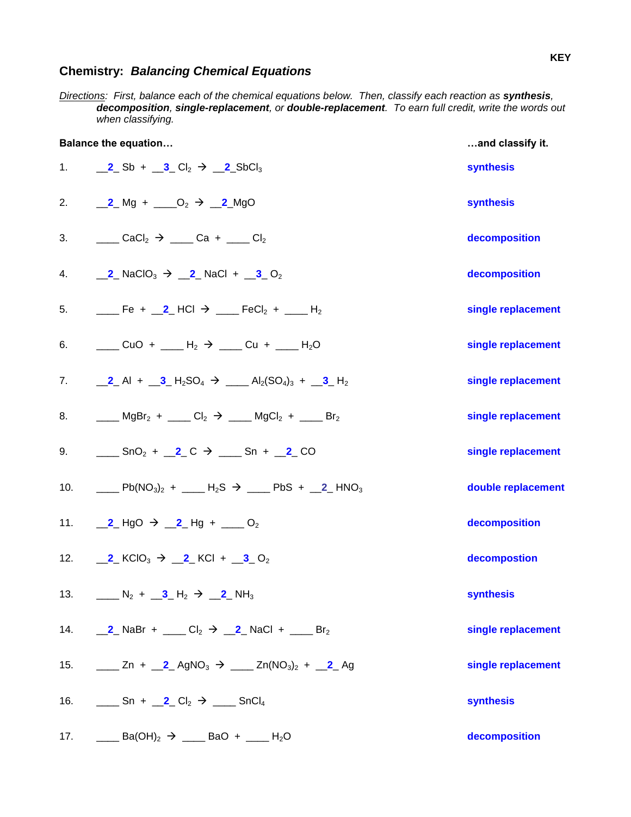## **Chemistry:** *Balancing Chemical Equations*

*Directions: First, balance each of the chemical equations below. Then, classify each reaction as <i>synthesis*, *decomposition, single-replacement, or double-replacement. To earn full credit, write the words out when classifying.*

| <b>Balance the equation</b> |                                                                                                                    | and classify it.   |
|-----------------------------|--------------------------------------------------------------------------------------------------------------------|--------------------|
|                             | 1. <b>2</b> Sb + <b>3</b> Cl <sub>2</sub> $\rightarrow$ <b>2</b> SbCl <sub>3</sub>                                 | <b>synthesis</b>   |
|                             | 2. <b>2</b> Mg + $\_\_O_2 \rightarrow \_\_2$ MgO                                                                   | <b>synthesis</b>   |
| 3.                          | $C_1$ CaCl <sub>2</sub> $\rightarrow$ $C_2$ Ca + $C_1$                                                             | decomposition      |
|                             | 4. <b>2</b> NaClO <sub>3</sub> $\rightarrow$ <b>2</b> NaCl + <b>3</b> O <sub>2</sub>                               | decomposition      |
|                             | 5. $\qquad \qquad$ Fe + 2 HCl $\rightarrow$ FeCl <sub>2</sub> + ___ H <sub>2</sub>                                 | single replacement |
| 6.                          | $\frac{1}{2}$ CuO + $\frac{1}{2}$ H <sub>2</sub> $\rightarrow$ $\frac{1}{2}$ Cu + $\frac{1}{2}$ H <sub>2</sub> O   | single replacement |
|                             | 7. $2 \text{ Al} + 3 \text{ H}_2\text{SO}_4 \rightarrow 4 \text{ Al}_2(\text{SO}_4)_3 + 3 \text{ H}_2$             | single replacement |
|                             | 8. ____ MgBr <sub>2</sub> + ____ Cl <sub>2</sub> $\rightarrow$ ____ MgCl <sub>2</sub> + ____ Br <sub>2</sub>       | single replacement |
| 9.                          | $\frac{1}{2}$ SnO <sub>2</sub> + <b>2</b> C $\rightarrow$ <b>Sn</b> + <b>2</b> CO                                  | single replacement |
|                             | 10. _____ Pb(NO <sub>3</sub> ) <sub>2</sub> + ____ H <sub>2</sub> S $\rightarrow$ ____ PbS + __2_ HNO <sub>3</sub> | double replacement |
|                             | 11. <b>2</b> HgO $\rightarrow$ <b>2</b> Hg + <b>10</b> O <sub>2</sub>                                              | decomposition      |
|                             | 12. <b>2</b> $KClO_3 \rightarrow 2$ $KCl + 3$ $O_2$                                                                | decompostion       |
|                             | 13. $\qquad \qquad N_2 + \underline{3} + \underline{4} + \underline{2} + \underline{1} + \underline{3}$            | <b>synthesis</b>   |
|                             | 14. 2 NaBr + ___ Cl <sub>2</sub> $\rightarrow$ 2 NaCl + ___ Br <sub>2</sub>                                        | single replacement |
|                             | 15. _____ Zn + __2_ AgNO <sub>3</sub> $\rightarrow$ ____ Zn(NO <sub>3</sub> ) <sub>2</sub> + __2_ Ag               | single replacement |
|                             | 16. Sn + 2 Cl <sub>2</sub> $\rightarrow$ SnCl <sub>4</sub>                                                         | <b>synthesis</b>   |
|                             | 17. $\qquad \qquad$ Ba(OH) <sub>2</sub> $\rightarrow$ <u>200</u> BaO + 200 H <sub>2</sub> O                        | decomposition      |